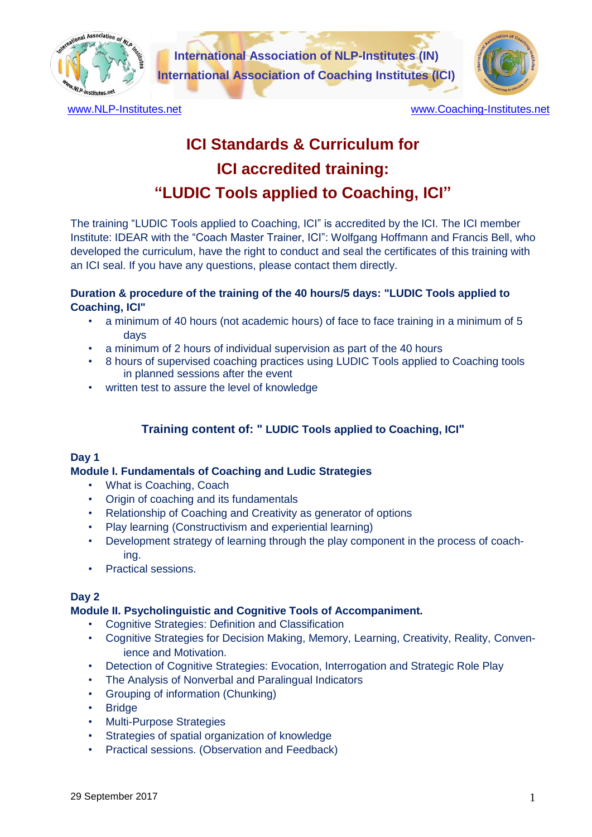

**International Association of NLP-Institutes (IN) International Association of Coaching Institutes (ICI)**



[www.NLP-Institutes.net](http://www.nlp-institutes.net/) example and the [www.Coaching-Institutes.net](http://www.coaching-institutes.net/)

# **ICI Standards & Curriculum for ICI accredited training: "LUDIC Tools applied to Coaching, ICI"**

The training "LUDIC Tools applied to Coaching, ICI" is accredited by the ICI. The ICI member Institute: IDEAR with the "Coach Master Trainer, ICI": Wolfgang Hoffmann and Francis Bell, who developed the curriculum, have the right to conduct and seal the certificates of this training with an ICI seal. If you have any questions, please contact them directly.

# **Duration & procedure of the training of the 40 hours/5 days: "LUDIC Tools applied to Coaching, ICI"**

- a minimum of 40 hours (not academic hours) of face to face training in a minimum of 5 days
- a minimum of 2 hours of individual supervision as part of the 40 hours
- 8 hours of supervised coaching practices using LUDIC Tools applied to Coaching tools in planned sessions after the event
- written test to assure the level of knowledge

# **Training content of: " LUDIC Tools applied to Coaching, ICI"**

## **Day 1**

# **Module I. Fundamentals of Coaching and Ludic Strategies**

- What is Coaching, Coach
- Origin of coaching and its fundamentals
- Relationship of Coaching and Creativity as generator of options
- Play learning (Constructivism and experiential learning)
- Development strategy of learning through the play component in the process of coaching.
- Practical sessions.

## **Day 2**

## **Module II. Psycholinguistic and Cognitive Tools of Accompaniment.**

- Cognitive Strategies: Definition and Classification
- Cognitive Strategies for Decision Making, Memory, Learning, Creativity, Reality, Convenience and Motivation.
- Detection of Cognitive Strategies: Evocation, Interrogation and Strategic Role Play
- The Analysis of Nonverbal and Paralingual Indicators
- Grouping of information (Chunking)
- **Bridge**
- Multi-Purpose Strategies
- Strategies of spatial organization of knowledge
- Practical sessions. (Observation and Feedback)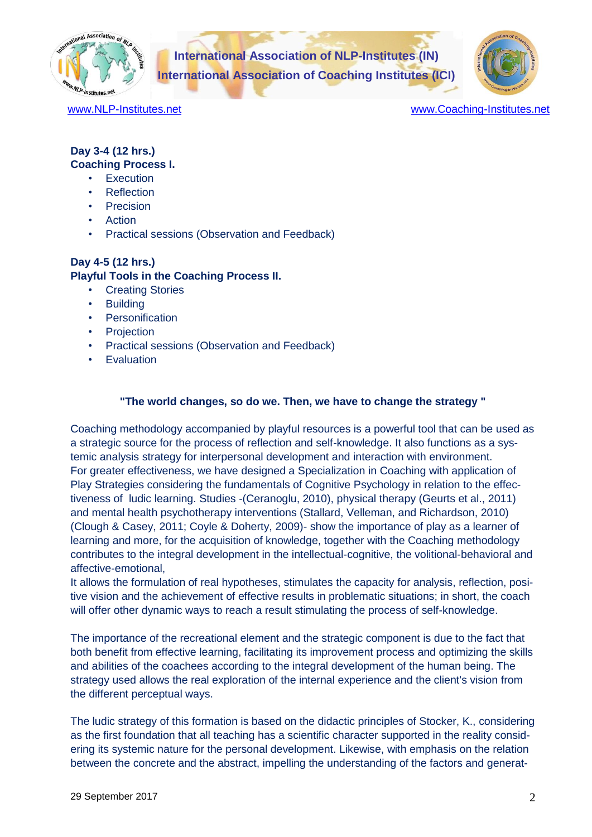

**International Association of NLP-Institutes (IN) International Association of Coaching Institutes (ICI)**



[www.NLP-Institutes.net](http://www.nlp-institutes.net/) example and [www.Coaching-Institutes.net](http://www.coaching-institutes.net/)

#### **Day 3-4 (12 hrs.) Coaching Process I.**

- **Execution**
- **Reflection**
- **Precision**
- Action
- Practical sessions (Observation and Feedback)

# **Day 4-5 (12 hrs.)**

## **Playful Tools in the Coaching Process II.**

- Creating Stories
- **Building**
- **Personification**
- **Projection**
- Practical sessions (Observation and Feedback)
- **Evaluation**

## **"The world changes, so do we. Then, we have to change the strategy "**

Coaching methodology accompanied by playful resources is a powerful tool that can be used as a strategic source for the process of reflection and self-knowledge. It also functions as a systemic analysis strategy for interpersonal development and interaction with environment. For greater effectiveness, we have designed a Specialization in Coaching with application of Play Strategies considering the fundamentals of Cognitive Psychology in relation to the effectiveness of ludic learning. Studies -(Ceranoglu, 2010), physical therapy (Geurts et al., 2011) and mental health psychotherapy interventions (Stallard, Velleman, and Richardson, 2010) (Clough & Casey, 2011; Coyle & Doherty, 2009)- show the importance of play as a learner of learning and more, for the acquisition of knowledge, together with the Coaching methodology contributes to the integral development in the intellectual-cognitive, the volitional-behavioral and affective-emotional,

It allows the formulation of real hypotheses, stimulates the capacity for analysis, reflection, positive vision and the achievement of effective results in problematic situations; in short, the coach will offer other dynamic ways to reach a result stimulating the process of self-knowledge.

The importance of the recreational element and the strategic component is due to the fact that both benefit from effective learning, facilitating its improvement process and optimizing the skills and abilities of the coachees according to the integral development of the human being. The strategy used allows the real exploration of the internal experience and the client's vision from the different perceptual ways.

The ludic strategy of this formation is based on the didactic principles of Stocker, K., considering as the first foundation that all teaching has a scientific character supported in the reality considering its systemic nature for the personal development. Likewise, with emphasis on the relation between the concrete and the abstract, impelling the understanding of the factors and generat-